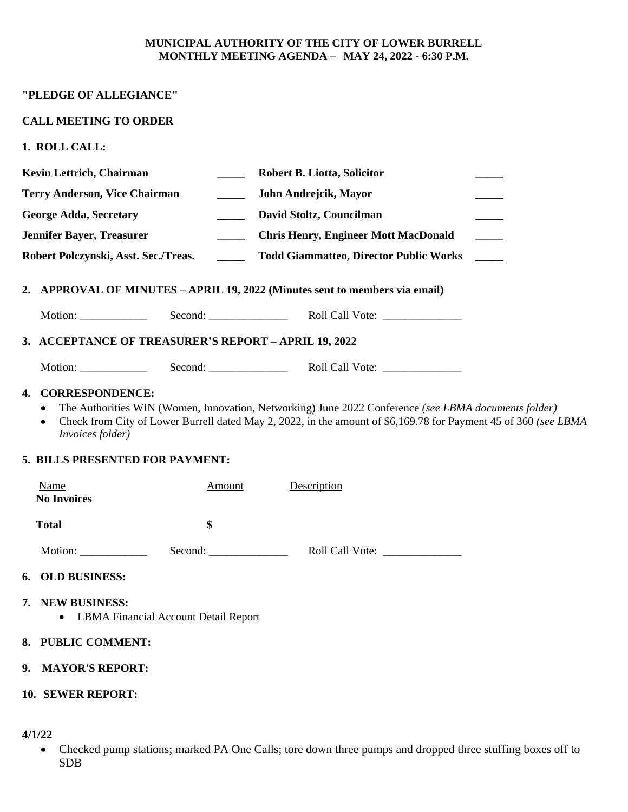#### **MUNICIPAL AUTHORITY OF THE CITY OF LOWER BURRELL MONTHLY MEETING AGENDA – MAY 24, 2022 - 6:30 P.M.**

## **CALL MEETING TO ORDER**

**1. ROLL CALL:**

| Kevin Lettrich, Chairman                                                                                                                                                                                                                                                                                                         | Robert B. Liotta, Solicitor                                  |
|----------------------------------------------------------------------------------------------------------------------------------------------------------------------------------------------------------------------------------------------------------------------------------------------------------------------------------|--------------------------------------------------------------|
| <b>Terry Anderson, Vice Chairman</b>                                                                                                                                                                                                                                                                                             | John Andrejcik, Mayor<br>$\sim$                              |
| <b>George Adda, Secretary</b>                                                                                                                                                                                                                                                                                                    | David Stoltz, Councilman<br>$\sim$                           |
| <b>Jennifer Bayer, Treasurer</b>                                                                                                                                                                                                                                                                                                 | <b>Chris Henry, Engineer Mott MacDonald</b><br>$\sim$ $\sim$ |
| Robert Polczynski, Asst. Sec./Treas.                                                                                                                                                                                                                                                                                             | <b>Todd Giammatteo, Director Public Works</b>                |
|                                                                                                                                                                                                                                                                                                                                  |                                                              |
| 2. APPROVAL OF MINUTES – APRIL 19, 2022 (Minutes sent to members via email)                                                                                                                                                                                                                                                      |                                                              |
| Motion: $\frac{1}{\sqrt{1-\frac{1}{2}}\cdot\frac{1}{\sqrt{1-\frac{1}{2}}}}$                                                                                                                                                                                                                                                      |                                                              |
| 3. ACCEPTANCE OF TREASURER'S REPORT - APRIL 19, 2022                                                                                                                                                                                                                                                                             |                                                              |
| Motion: $\frac{1}{1}$                                                                                                                                                                                                                                                                                                            |                                                              |
| <b>CORRESPONDENCE:</b><br>4.<br>The Authorities WIN (Women, Innovation, Networking) June 2022 Conference (see LBMA documents folder)<br>٠<br>Check from City of Lower Burrell dated May 2, 2022, in the amount of \$6,169.78 for Payment 45 of 360 (see LBMA<br>$\bullet$<br>Invoices folder)<br>5. BILLS PRESENTED FOR PAYMENT: |                                                              |
| Name<br><u>Amount</u><br><b>No Invoices</b>                                                                                                                                                                                                                                                                                      | Description                                                  |
| \$<br><b>Total</b>                                                                                                                                                                                                                                                                                                               |                                                              |
|                                                                                                                                                                                                                                                                                                                                  | Second:<br>Roll Call Vote:                                   |
| <b>OLD BUSINESS:</b><br>6.                                                                                                                                                                                                                                                                                                       |                                                              |
| <b>NEW BUSINESS:</b><br>7.<br><b>LBMA Financial Account Detail Report</b>                                                                                                                                                                                                                                                        |                                                              |
| <b>PUBLIC COMMENT:</b><br>8.                                                                                                                                                                                                                                                                                                     |                                                              |
| <b>MAYOR'S REPORT:</b><br>9.                                                                                                                                                                                                                                                                                                     |                                                              |
| 10. SEWER REPORT:                                                                                                                                                                                                                                                                                                                |                                                              |

**4/1/22**

 Checked pump stations; marked PA One Calls; tore down three pumps and dropped three stuffing boxes off to SDB